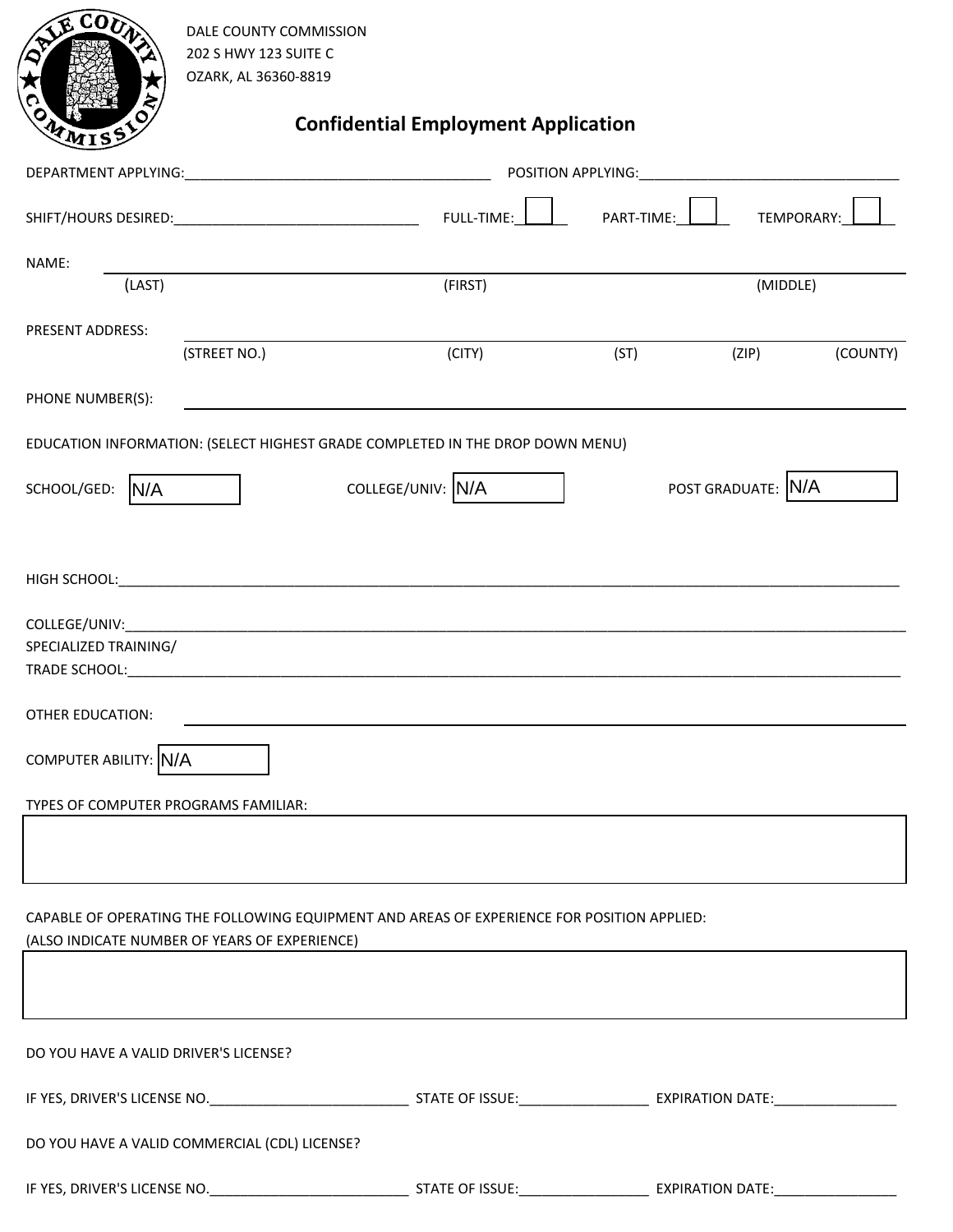| CO <sub>b</sub>                                                                                                                             | DALE COUNTY COMMISSION<br>202 S HWY 123 SUITE C<br>OZARK, AL 36360-8819       |         |            |            |          |  |  |
|---------------------------------------------------------------------------------------------------------------------------------------------|-------------------------------------------------------------------------------|---------|------------|------------|----------|--|--|
| <b>Confidential Employment Application</b><br>WMISS                                                                                         |                                                                               |         |            |            |          |  |  |
|                                                                                                                                             |                                                                               |         |            |            |          |  |  |
|                                                                                                                                             |                                                                               |         | PART-TIME: | TEMPORARY: |          |  |  |
| NAME:                                                                                                                                       |                                                                               |         |            |            |          |  |  |
| (LAST)                                                                                                                                      |                                                                               | (FIRST) |            | (MIDDLE)   |          |  |  |
| <b>PRESENT ADDRESS:</b>                                                                                                                     | (STREET NO.)                                                                  | (CITY)  | (ST)       | (ZIP)      | (COUNTY) |  |  |
| PHONE NUMBER(S):                                                                                                                            |                                                                               |         |            |            |          |  |  |
|                                                                                                                                             | EDUCATION INFORMATION: (SELECT HIGHEST GRADE COMPLETED IN THE DROP DOWN MENU) |         |            |            |          |  |  |
| POST GRADUATE: N/A<br>COLLEGE/UNIV: N/A<br>SCHOOL/GED:<br>IN/A                                                                              |                                                                               |         |            |            |          |  |  |
|                                                                                                                                             |                                                                               |         |            |            |          |  |  |
|                                                                                                                                             |                                                                               |         |            |            |          |  |  |
| SPECIALIZED TRAINING/                                                                                                                       |                                                                               |         |            |            |          |  |  |
| <b>OTHER EDUCATION:</b>                                                                                                                     |                                                                               |         |            |            |          |  |  |
| COMPUTER ABILITY: N/A                                                                                                                       |                                                                               |         |            |            |          |  |  |
| TYPES OF COMPUTER PROGRAMS FAMILIAR:                                                                                                        |                                                                               |         |            |            |          |  |  |
|                                                                                                                                             |                                                                               |         |            |            |          |  |  |
|                                                                                                                                             |                                                                               |         |            |            |          |  |  |
| CAPABLE OF OPERATING THE FOLLOWING EQUIPMENT AND AREAS OF EXPERIENCE FOR POSITION APPLIED:<br>(ALSO INDICATE NUMBER OF YEARS OF EXPERIENCE) |                                                                               |         |            |            |          |  |  |
|                                                                                                                                             |                                                                               |         |            |            |          |  |  |
|                                                                                                                                             |                                                                               |         |            |            |          |  |  |
| DO YOU HAVE A VALID DRIVER'S LICENSE?                                                                                                       |                                                                               |         |            |            |          |  |  |
|                                                                                                                                             |                                                                               |         |            |            |          |  |  |
|                                                                                                                                             | DO YOU HAVE A VALID COMMERCIAL (CDL) LICENSE?                                 |         |            |            |          |  |  |
|                                                                                                                                             |                                                                               |         |            |            |          |  |  |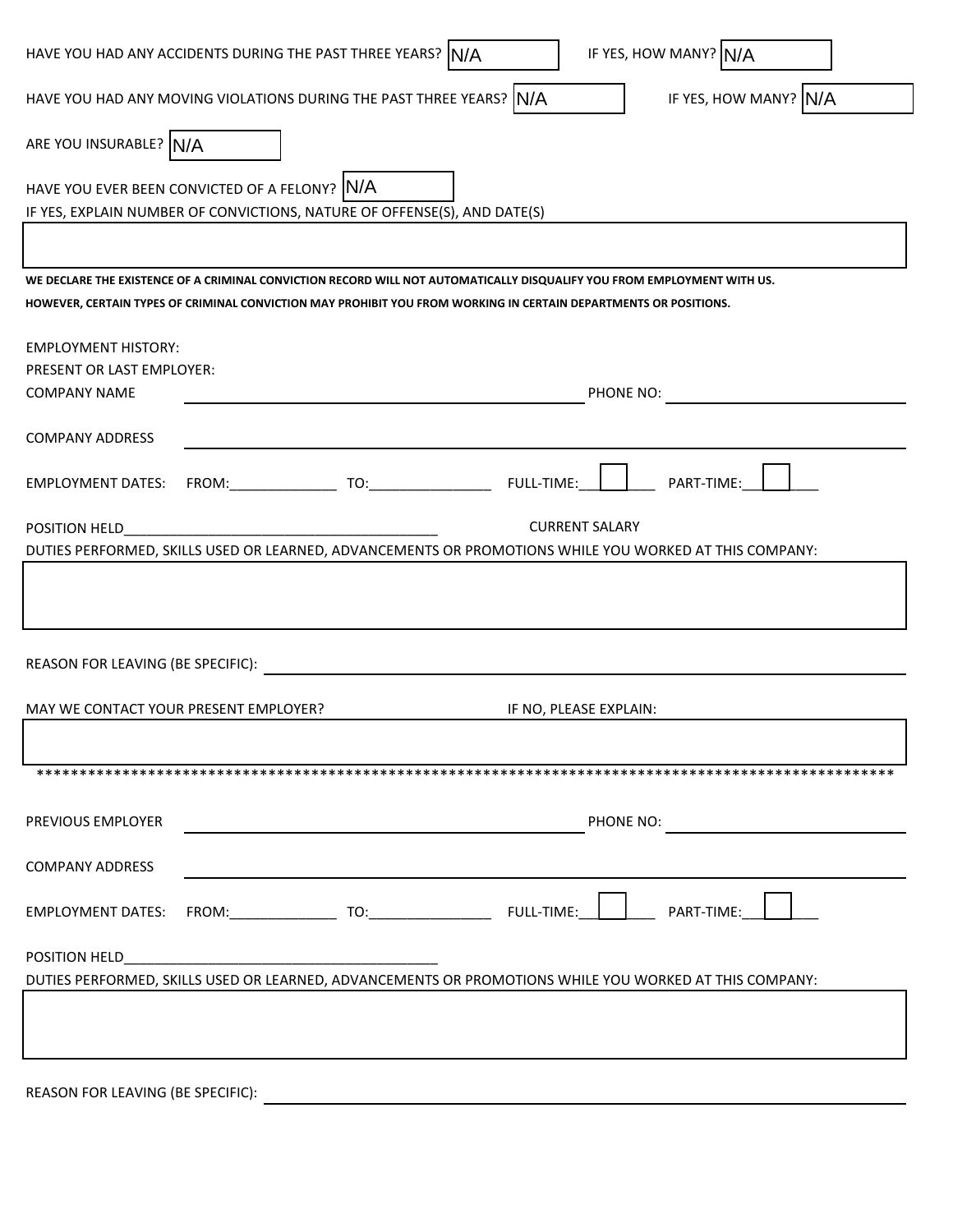| HAVE YOU HAD ANY ACCIDENTS DURING THE PAST THREE YEARS? N/A                                                               |  |  |                        | IF YES, HOW MANY? N/A                                                                                                   |  |  |
|---------------------------------------------------------------------------------------------------------------------------|--|--|------------------------|-------------------------------------------------------------------------------------------------------------------------|--|--|
| HAVE YOU HAD ANY MOVING VIOLATIONS DURING THE PAST THREE YEARS? N/A                                                       |  |  |                        | IF YES, HOW MANY? N/A                                                                                                   |  |  |
| ARE YOU INSURABLE? N/A                                                                                                    |  |  |                        |                                                                                                                         |  |  |
| HAVE YOU EVER BEEN CONVICTED OF A FELONY? N/A<br>IF YES, EXPLAIN NUMBER OF CONVICTIONS, NATURE OF OFFENSE(S), AND DATE(S) |  |  |                        |                                                                                                                         |  |  |
|                                                                                                                           |  |  |                        |                                                                                                                         |  |  |
| HOWEVER, CERTAIN TYPES OF CRIMINAL CONVICTION MAY PROHIBIT YOU FROM WORKING IN CERTAIN DEPARTMENTS OR POSITIONS.          |  |  |                        | WE DECLARE THE EXISTENCE OF A CRIMINAL CONVICTION RECORD WILL NOT AUTOMATICALLY DISQUALIFY YOU FROM EMPLOYMENT WITH US. |  |  |
|                                                                                                                           |  |  |                        |                                                                                                                         |  |  |
| <b>EMPLOYMENT HISTORY:</b>                                                                                                |  |  |                        |                                                                                                                         |  |  |
| PRESENT OR LAST EMPLOYER:                                                                                                 |  |  |                        |                                                                                                                         |  |  |
| <b>COMPANY NAME</b>                                                                                                       |  |  |                        | PHONE NO:                                                                                                               |  |  |
| <b>COMPANY ADDRESS</b>                                                                                                    |  |  |                        |                                                                                                                         |  |  |
| <b>EMPLOYMENT DATES:</b>                                                                                                  |  |  |                        | PART-TIME:                                                                                                              |  |  |
|                                                                                                                           |  |  |                        |                                                                                                                         |  |  |
| POSITION HELD                                                                                                             |  |  | <b>CURRENT SALARY</b>  |                                                                                                                         |  |  |
|                                                                                                                           |  |  |                        | DUTIES PERFORMED, SKILLS USED OR LEARNED, ADVANCEMENTS OR PROMOTIONS WHILE YOU WORKED AT THIS COMPANY:                  |  |  |
|                                                                                                                           |  |  |                        |                                                                                                                         |  |  |
|                                                                                                                           |  |  |                        |                                                                                                                         |  |  |
|                                                                                                                           |  |  |                        |                                                                                                                         |  |  |
| REASON FOR LEAVING (BE SPECIFIC):                                                                                         |  |  |                        |                                                                                                                         |  |  |
|                                                                                                                           |  |  |                        |                                                                                                                         |  |  |
| MAY WE CONTACT YOUR PRESENT EMPLOYER?                                                                                     |  |  | IF NO, PLEASE EXPLAIN: |                                                                                                                         |  |  |
|                                                                                                                           |  |  |                        |                                                                                                                         |  |  |
|                                                                                                                           |  |  |                        |                                                                                                                         |  |  |
| PREVIOUS EMPLOYER                                                                                                         |  |  |                        | PHONE NO:                                                                                                               |  |  |
|                                                                                                                           |  |  |                        |                                                                                                                         |  |  |
| <b>COMPANY ADDRESS</b>                                                                                                    |  |  |                        |                                                                                                                         |  |  |
| <b>EMPLOYMENT DATES:</b>                                                                                                  |  |  |                        | PART-TIME:                                                                                                              |  |  |
| POSITION HELD                                                                                                             |  |  |                        |                                                                                                                         |  |  |
| DUTIES PERFORMED, SKILLS USED OR LEARNED, ADVANCEMENTS OR PROMOTIONS WHILE YOU WORKED AT THIS COMPANY:                    |  |  |                        |                                                                                                                         |  |  |
|                                                                                                                           |  |  |                        |                                                                                                                         |  |  |
|                                                                                                                           |  |  |                        |                                                                                                                         |  |  |
|                                                                                                                           |  |  |                        |                                                                                                                         |  |  |
|                                                                                                                           |  |  |                        |                                                                                                                         |  |  |

REASON FOR LEAVING (BE SPECIFIC):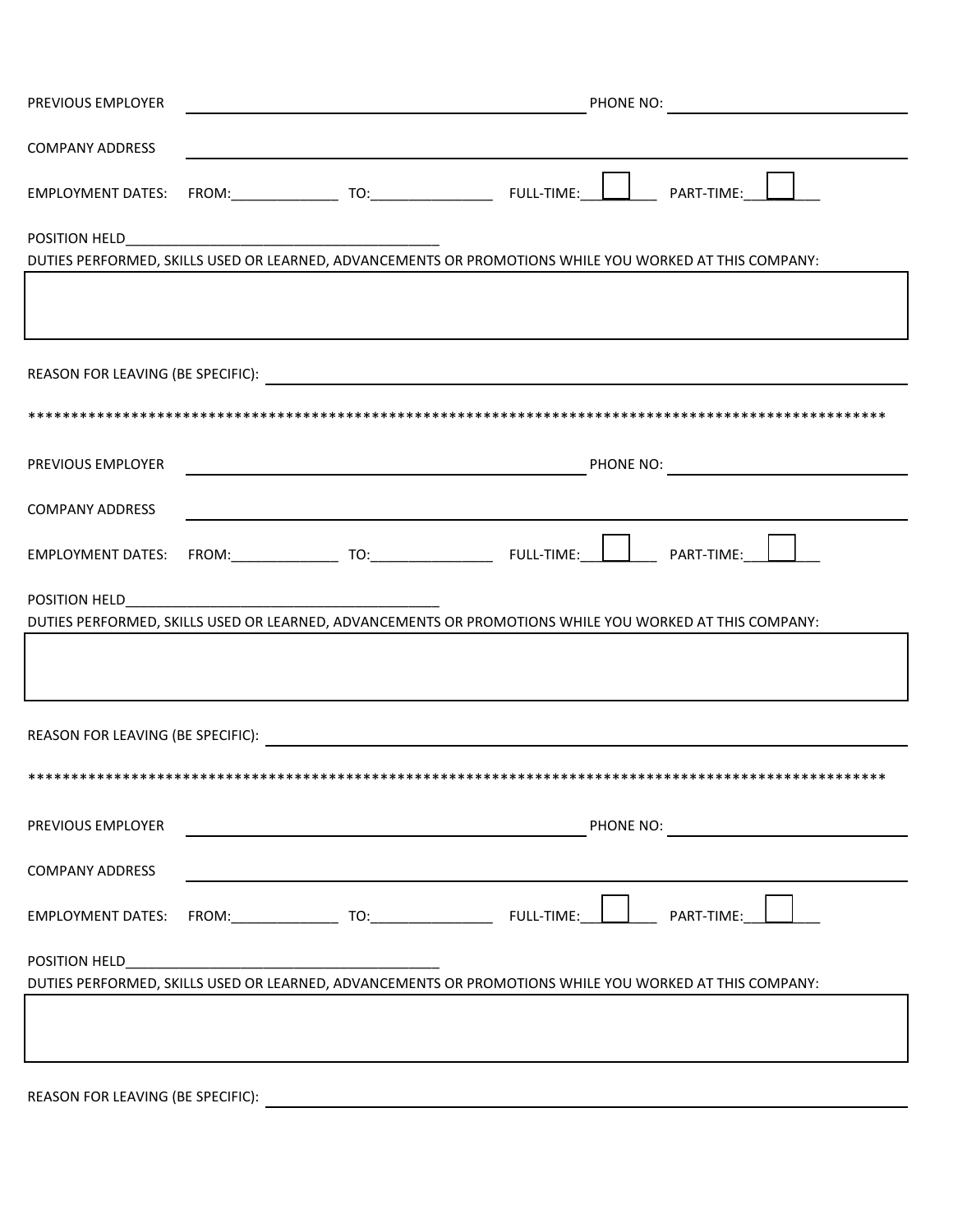| PREVIOUS EMPLOYER        | PHONE NO:<br><u> 1989 - Johann Barn, amerikansk politiker (d. 1989)</u>                                                                                                                                                        |  |  |  |
|--------------------------|--------------------------------------------------------------------------------------------------------------------------------------------------------------------------------------------------------------------------------|--|--|--|
| <b>COMPANY ADDRESS</b>   |                                                                                                                                                                                                                                |  |  |  |
| <b>EMPLOYMENT DATES:</b> |                                                                                                                                                                                                                                |  |  |  |
|                          |                                                                                                                                                                                                                                |  |  |  |
|                          | DUTIES PERFORMED, SKILLS USED OR LEARNED, ADVANCEMENTS OR PROMOTIONS WHILE YOU WORKED AT THIS COMPANY:                                                                                                                         |  |  |  |
|                          |                                                                                                                                                                                                                                |  |  |  |
|                          |                                                                                                                                                                                                                                |  |  |  |
|                          |                                                                                                                                                                                                                                |  |  |  |
| PREVIOUS EMPLOYER        | PHONE NO: NAME NO: NAME NO: NAME NO: NAME NO: NAME NO: NAME NO: NAME NO: NAME OF THE OF THE OF THE OF THE OF THE OF THE OF THE OF THE OF THE OF THE OF THE OF THE OF THE OF THE OF THE OF THE OF THE OF THE OF THE OF THE OF T |  |  |  |
| <b>COMPANY ADDRESS</b>   |                                                                                                                                                                                                                                |  |  |  |
|                          | EMPLOYMENT DATES: FROM: TO: TO: FULL-TIME: PART-TIME: PART-TIME:                                                                                                                                                               |  |  |  |
| POSITION HELD            |                                                                                                                                                                                                                                |  |  |  |
|                          | DUTIES PERFORMED, SKILLS USED OR LEARNED, ADVANCEMENTS OR PROMOTIONS WHILE YOU WORKED AT THIS COMPANY:                                                                                                                         |  |  |  |
|                          |                                                                                                                                                                                                                                |  |  |  |
|                          |                                                                                                                                                                                                                                |  |  |  |
|                          |                                                                                                                                                                                                                                |  |  |  |
| PREVIOUS EMPLOYER        | PHONE NO:<br><u> 1980 - Johann John Stein, fransk politik (</u> † 1900)                                                                                                                                                        |  |  |  |
|                          |                                                                                                                                                                                                                                |  |  |  |
| <b>COMPANY ADDRESS</b>   |                                                                                                                                                                                                                                |  |  |  |
|                          |                                                                                                                                                                                                                                |  |  |  |
|                          |                                                                                                                                                                                                                                |  |  |  |
|                          | DUTIES PERFORMED, SKILLS USED OR LEARNED, ADVANCEMENTS OR PROMOTIONS WHILE YOU WORKED AT THIS COMPANY:                                                                                                                         |  |  |  |
|                          |                                                                                                                                                                                                                                |  |  |  |
|                          |                                                                                                                                                                                                                                |  |  |  |
|                          |                                                                                                                                                                                                                                |  |  |  |